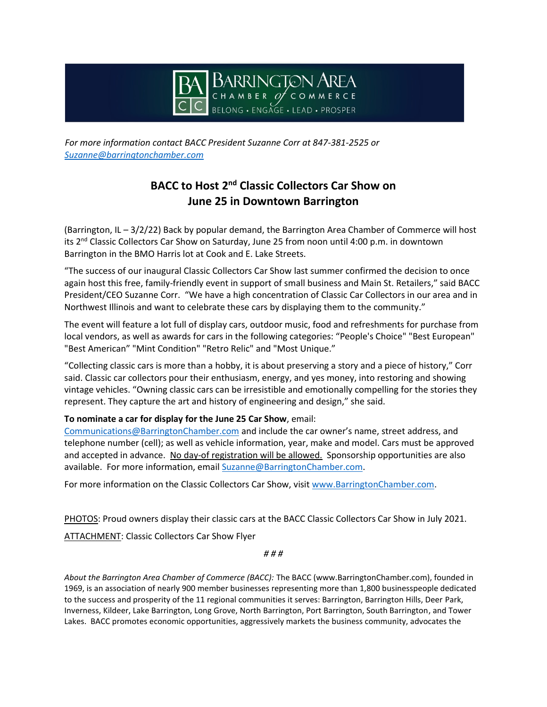

*For more information contact BACC President Suzanne Corr at 847-381-2525 or Suzanne@barringtonchamber.com*

## **BACC to Host 2<sup>nd</sup> Classic Collectors Car Show on June 25 in Downtown Barrington**

(Barrington, IL – 3/2/22) Back by popular demand, the Barrington Area Chamber of Commerce will host its 2<sup>nd</sup> Classic Collectors Car Show on Saturday, June 25 from noon until 4:00 p.m. in downtown Barrington in the BMO Harris lot at Cook and E. Lake Streets.

"The success of our inaugural Classic Collectors Car Show last summer confirmed the decision to once again host this free, family-friendly event in support of small business and Main St. Retailers," said BACC President/CEO Suzanne Corr. "We have a high concentration of Classic Car Collectors in our area and in Northwest Illinois and want to celebrate these cars by displaying them to the community."

The event will feature a lot full of display cars, outdoor music, food and refreshments for purchase from local vendors, as well as awards for cars in the following categories: "People's Choice" "Best European" "Best American" "Mint Condition" "Retro Relic" and "Most Unique."

"Collecting classic cars is more than a hobby, it is about preserving a story and a piece of history," Corr said. Classic car collectors pour their enthusiasm, energy, and yes money, into restoring and showing vintage vehicles. "Owning classic cars can be irresistible and emotionally compelling for the stories they represent. They capture the art and history of engineering and design," she said.

## **To nominate a car for display for the June 25 Car Show**, email:

Communications@BarringtonChamber.com and include the car owner's name, street address, and telephone number (cell); as well as vehicle information, year, make and model. Cars must be approved and accepted in advance. No day-of registration will be allowed. Sponsorship opportunities are also available. For more information, email Suzanne@BarringtonChamber.com.

For more information on the Classic Collectors Car Show, visit www.BarringtonChamber.com.

PHOTOS: Proud owners display their classic cars at the BACC Classic Collectors Car Show in July 2021.

ATTACHMENT: Classic Collectors Car Show Flyer

*# # #*

*About the Barrington Area Chamber of Commerce (BACC):* The BACC (www.BarringtonChamber.com), founded in 1969, is an association of nearly 900 member businesses representing more than 1,800 businesspeople dedicated to the success and prosperity of the 11 regional communities it serves: Barrington, Barrington Hills, Deer Park, Inverness, Kildeer, Lake Barrington, Long Grove, North Barrington, Port Barrington, South Barrington, and Tower Lakes. BACC promotes economic opportunities, aggressively markets the business community, advocates the